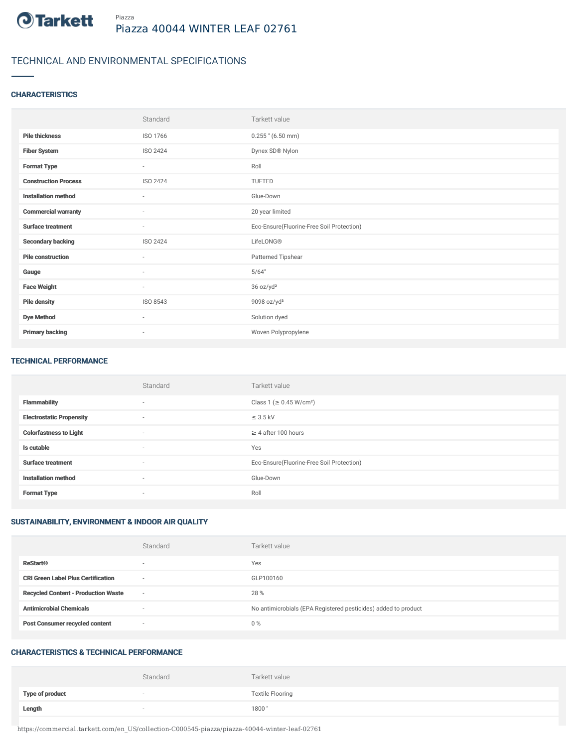

# TECHNICAL AND ENVIRONMENTAL SPECIFICATIONS

## **CHARACTERISTICS**

|                             | Standard                 | Tarkett value                             |
|-----------------------------|--------------------------|-------------------------------------------|
| <b>Pile thickness</b>       | ISO 1766                 | $0.255$ " (6.50 mm)                       |
| <b>Fiber System</b>         | ISO 2424                 | Dynex SD® Nylon                           |
| <b>Format Type</b>          | $\sim$                   | Roll                                      |
| <b>Construction Process</b> | ISO 2424                 | <b>TUFTED</b>                             |
| <b>Installation method</b>  | $\sim$                   | Glue-Down                                 |
| <b>Commercial warranty</b>  | $\sim$                   | 20 year limited                           |
| <b>Surface treatment</b>    | $\sim$                   | Eco-Ensure(Fluorine-Free Soil Protection) |
| <b>Secondary backing</b>    | ISO 2424                 | LifeLONG®                                 |
| <b>Pile construction</b>    | ×,                       | Patterned Tipshear                        |
| Gauge                       | $\sim$                   | 5/64"                                     |
| <b>Face Weight</b>          | $\sim$                   | 36 oz/yd <sup>2</sup>                     |
| <b>Pile density</b>         | ISO 8543                 | 9098 oz/yd <sup>3</sup>                   |
| <b>Dye Method</b>           | $\sim$                   | Solution dyed                             |
| <b>Primary backing</b>      | $\overline{\phantom{a}}$ | Woven Polypropylene                       |

#### TECHNICAL PERFORMANCE

|                                 | Standard                 | Tarkett value                             |
|---------------------------------|--------------------------|-------------------------------------------|
| <b>Flammability</b>             | $\sim$                   | Class 1 (≥ 0.45 W/cm <sup>2</sup> )       |
| <b>Electrostatic Propensity</b> | $\sim$                   | $\leq$ 3.5 kV                             |
| <b>Colorfastness to Light</b>   | $\sim$                   | $\geq$ 4 after 100 hours                  |
| Is cutable                      | $\overline{\phantom{a}}$ | Yes                                       |
| <b>Surface treatment</b>        | $\sim$                   | Eco-Ensure(Fluorine-Free Soil Protection) |
| <b>Installation method</b>      | $\sim$                   | Glue-Down                                 |
| <b>Format Type</b>              | $\overline{\phantom{a}}$ | Roll                                      |

# SUSTAINABILITY, ENVIRONMENT & INDOOR AIR QUALITY

|                                            | Standard                 | Tarkett value                                                  |
|--------------------------------------------|--------------------------|----------------------------------------------------------------|
| <b>ReStart®</b>                            | $\overline{\phantom{a}}$ | Yes                                                            |
| <b>CRI Green Label Plus Certification</b>  | $\overline{\phantom{a}}$ | GLP100160                                                      |
| <b>Recycled Content - Production Waste</b> | $\overline{\phantom{a}}$ | 28 %                                                           |
| <b>Antimicrobial Chemicals</b>             | $\overline{\phantom{a}}$ | No antimicrobials (EPA Registered pesticides) added to product |
| <b>Post Consumer recycled content</b>      | $\sim$                   | $0\%$                                                          |

#### CHARACTERISTICS & TECHNICAL PERFORMANCE

|                 | Standard | Tarkett value           |
|-----------------|----------|-------------------------|
| Type of product | $\sim$   | <b>Textile Flooring</b> |
| Length          | $\sim$   | 1800"                   |

https://commercial.tarkett.com/en\_US/collection-C000545-piazza/piazza-40044-winter-leaf-02761